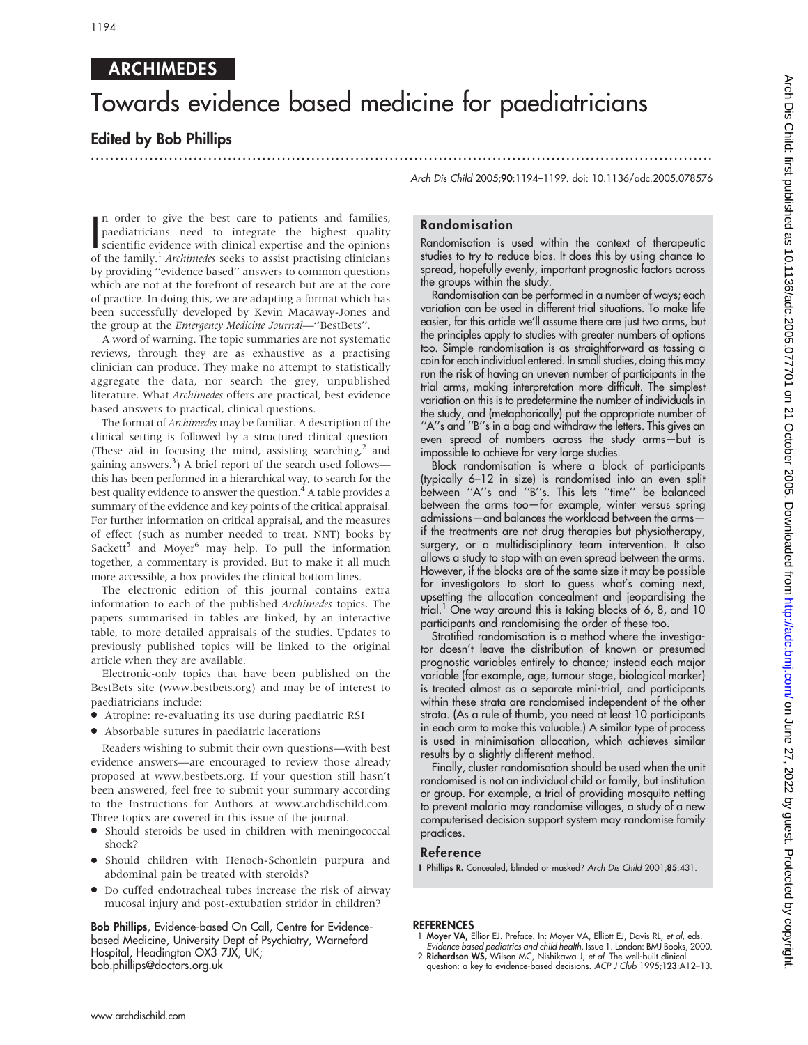### ARCHIMEDES

# Towards evidence based medicine for paediatricians

...............................................................................................................................

### Edited by Bob Phillips

Arch Dis Child 2005;90:1194–1199. doi: 10.1136/adc.2005.078576

In order to give the best care to patients and tamilies,<br>paediatricians need to integrate the highest quality<br>scientific evidence with clinical expertise and the opinions<br>of the family  $\frac{1}{2}$  Archimaghe socks to assist n order to give the best care to patients and families, paediatricians need to integrate the highest quality of the family.<sup>1</sup> Archimedes seeks to assist practising clinicians by providing ''evidence based'' answers to common questions which are not at the forefront of research but are at the core of practice. In doing this, we are adapting a format which has been successfully developed by Kevin Macaway-Jones and the group at the Emergency Medicine Journal—''BestBets''.

A word of warning. The topic summaries are not systematic reviews, through they are as exhaustive as a practising clinician can produce. They make no attempt to statistically aggregate the data, nor search the grey, unpublished literature. What Archimedes offers are practical, best evidence based answers to practical, clinical questions.

The format of Archimedes may be familiar. A description of the clinical setting is followed by a structured clinical question. (These aid in focusing the mind, assisting searching, $2$  and gaining answers.<sup>3</sup>) A brief report of the search used follows this has been performed in a hierarchical way, to search for the best quality evidence to answer the question.<sup>4</sup> A table provides a summary of the evidence and key points of the critical appraisal. For further information on critical appraisal, and the measures of effect (such as number needed to treat, NNT) books by Sackett<sup>5</sup> and Moyer<sup>6</sup> may help. To pull the information together, a commentary is provided. But to make it all much more accessible, a box provides the clinical bottom lines.

The electronic edition of this journal contains extra information to each of the published Archimedes topics. The papers summarised in tables are linked, by an interactive table, to more detailed appraisals of the studies. Updates to previously published topics will be linked to the original article when they are available.

Electronic-only topics that have been published on the BestBets site (www.bestbets.org) and may be of interest to paediatricians include:

- N Atropine: re-evaluating its use during paediatric RSI
- N Absorbable sutures in paediatric lacerations

Readers wishing to submit their own questions—with best evidence answers—are encouraged to review those already proposed at www.bestbets.org. If your question still hasn't been answered, feel free to submit your summary according to the Instructions for Authors at www.archdischild.com. Three topics are covered in this issue of the journal.

- Should steroids be used in children with meningococcal shock?
- N Should children with Henoch-Schonlein purpura and abdominal pain be treated with steroids?
- N Do cuffed endotracheal tubes increase the risk of airway mucosal injury and post-extubation stridor in children?

Bob Phillips, Evidence-based On Call, Centre for Evidencebased Medicine, University Dept of Psychiatry, Warneford Hospital, Headington OX3 7JX, UK; bob.phillips@doctors.org.uk

#### Randomisation

Randomisation is used within the context of therapeutic studies to try to reduce bias. It does this by using chance to spread, hopefully evenly, important prognostic factors across the groups within the study.

Randomisation can be performed in a number of ways; each variation can be used in different trial situations. To make life easier, for this article we'll assume there are just two arms, but the principles apply to studies with greater numbers of options too. Simple randomisation is as straightforward as tossing a coin for each individual entered. In small studies, doing this may run the risk of having an uneven number of participants in the trial arms, making interpretation more difficult. The simplest variation on this is to predetermine the number of individuals in the study, and (metaphorically) put the appropriate number of ''A''s and ''B''s in a bag and withdraw the letters. This gives an even spread of numbers across the study arms—but is impossible to achieve for very large studies.

Block randomisation is where a block of participants (typically 6–12 in size) is randomised into an even split between ''A''s and ''B''s. This lets ''time'' be balanced between the arms too—for example, winter versus spring admissions—and balances the workload between the arms if the treatments are not drug therapies but physiotherapy, surgery, or a multidisciplinary team intervention. It also allows a study to stop with an even spread between the arms. However, if the blocks are of the same size it may be possible for investigators to start to guess what's coming next, upsetting the allocation concealment and jeopardising the trial.<sup>1</sup> One way around this is taking blocks of 6, 8, and 10 participants and randomising the order of these too.

Stratified randomisation is a method where the investigator doesn't leave the distribution of known or presumed prognostic variables entirely to chance; instead each major variable (for example, age, tumour stage, biological marker) is treated almost as a separate mini-trial, and participants within these strata are randomised independent of the other strata. (As a rule of thumb, you need at least 10 participants in each arm to make this valuable.) A similar type of process is used in minimisation allocation, which achieves similar results by a slightly different method.

Finally, cluster randomisation should be used when the unit randomised is not an individual child or family, but institution or group. For example, a trial of providing mosquito netting to prevent malaria may randomise villages, a study of a new computerised decision support system may randomise family practices.

#### Reference

1 Phillips R. Concealed, blinded or masked? Arch Dis Child 2001;85:431.

#### **REFERENCES**

- Moyer VA, Ellior EJ. Preface. In: Moyer VA, Elliott EJ, Davis RL, et al, eds. Evidence based pediatrics and child health, Issue 1. London: BMJ Books, 2000.
- 2 Richardson WS, Wilson MC, Nishikawa J, et al. The well-built clinical question: a key to evidence-based decisions. ACP J Club 1995;123:A12–13.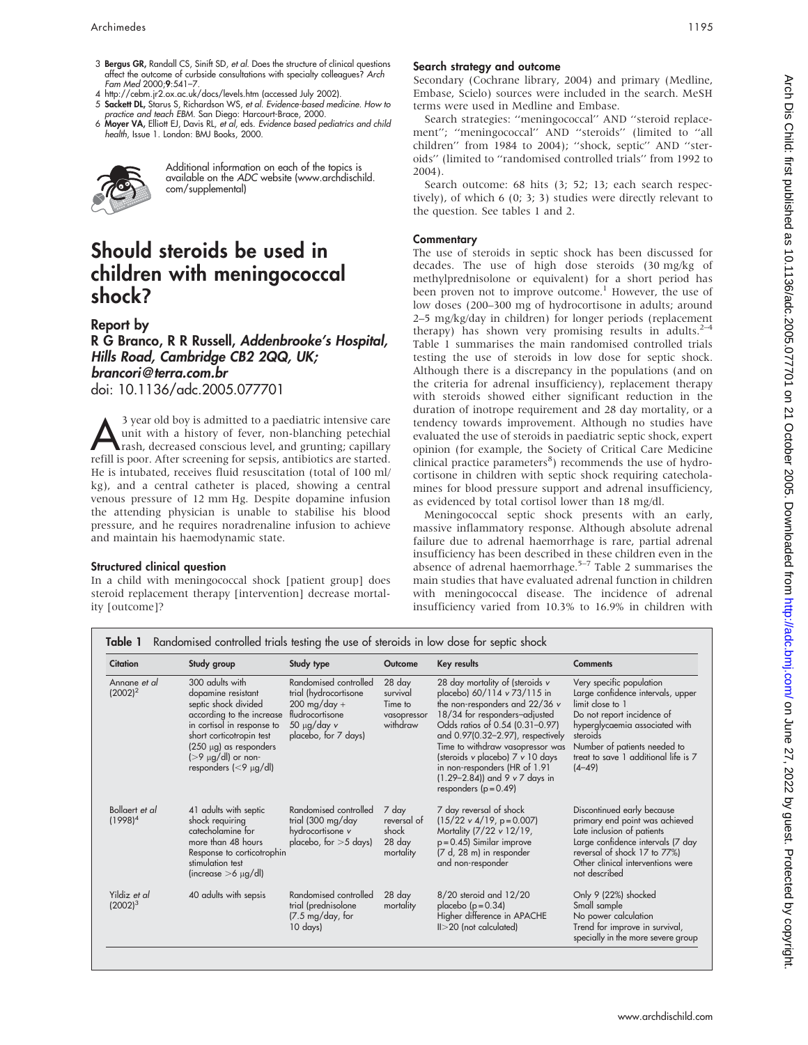- 3 Bergus GR, Randall CS, Sinift SD, et al. Does the structure of clinical questions affect the outcome of curbside consultations with specialty colleagues? Arch Fam Med 2000;9:541–7.
- 4 http://cebm.jr2.ox.ac.uk/docs/levels.htm (accessed July 2002).
- 5 Sackett DL, Starus S, Richardson WS, et al. Evidence-based medicine. How to practice and teach EBM. San Diego: Harcourt-Brace, 2000. 6 Moyer VA, Elliott EJ, Davis RL, et al, eds. Evidence based pediatrics and child
- health, Issue 1. London: BMJ Books, 2000.



Additional information on each of the topics is available on the ADC website (www.archdischild. com/supplemental)

# Should steroids be used in children with meningococcal shock?

Report by

R G Branco, R R Russell, Addenbrooke's Hospital, Hills Road, Cambridge CB2 2QQ, UK; brancori@terra.com.br doi: 10.1136/adc.2005.077701

 $\sum_{\text{unit with a history of fever, non-blanching petechial } }$  and the state of tever, non-blanching petechial and the state of tevers of tevers and grunting; capillary refill is noor. After screening for sensis, antibiotics are started unit with a history of fever, non-blanching petechial rash, decreased conscious level, and grunting; capillary refill is poor. After screening for sepsis, antibiotics are started. He is intubated, receives fluid resuscitation (total of 100 ml/ kg), and a central catheter is placed, showing a central venous pressure of 12 mm Hg. Despite dopamine infusion the attending physician is unable to stabilise his blood pressure, and he requires noradrenaline infusion to achieve and maintain his haemodynamic state.

#### Structured clinical question

In a child with meningococcal shock [patient group] does steroid replacement therapy [intervention] decrease mortality [outcome]?

### Search strategy and outcome

Secondary (Cochrane library, 2004) and primary (Medline, Embase, Scielo) sources were included in the search. MeSH terms were used in Medline and Embase.

Search strategies: ''meningococcal'' AND ''steroid replacement"; "meningococcal" AND "steroids" (limited to "all children'' from 1984 to 2004); ''shock, septic'' AND ''steroids'' (limited to ''randomised controlled trials'' from 1992 to 2004).

Search outcome: 68 hits (3; 52; 13; each search respectively), of which 6 (0; 3; 3) studies were directly relevant to the question. See tables 1 and 2.

#### **Commentary**

The use of steroids in septic shock has been discussed for decades. The use of high dose steroids (30 mg/kg of methylprednisolone or equivalent) for a short period has been proven not to improve outcome.<sup>1</sup> However, the use of low doses (200–300 mg of hydrocortisone in adults; around 2–5 mg/kg/day in children) for longer periods (replacement therapy) has shown very promising results in adults. $2-4$ Table 1 summarises the main randomised controlled trials testing the use of steroids in low dose for septic shock. Although there is a discrepancy in the populations (and on the criteria for adrenal insufficiency), replacement therapy with steroids showed either significant reduction in the duration of inotrope requirement and 28 day mortality, or a tendency towards improvement. Although no studies have evaluated the use of steroids in paediatric septic shock, expert opinion (for example, the Society of Critical Care Medicine clinical practice parameters<sup>8</sup>) recommends the use of hydrocortisone in children with septic shock requiring catecholamines for blood pressure support and adrenal insufficiency, as evidenced by total cortisol lower than 18 mg/dl.

Meningococcal septic shock presents with an early, massive inflammatory response. Although absolute adrenal failure due to adrenal haemorrhage is rare, partial adrenal insufficiency has been described in these children even in the absence of adrenal haemorrhage.5–7 Table 2 summarises the main studies that have evaluated adrenal function in children with meningococcal disease. The incidence of adrenal insufficiency varied from 10.3% to 16.9% in children with

| <b>Citation</b>              | Study group                                                                                                                                                                                                                          | Study type                                                                                                                              | <b>Outcome</b>                                           | Key results                                                                                                                                                                                                                                                                                                                                                                          | <b>Comments</b>                                                                                                                                                                                                                                     |
|------------------------------|--------------------------------------------------------------------------------------------------------------------------------------------------------------------------------------------------------------------------------------|-----------------------------------------------------------------------------------------------------------------------------------------|----------------------------------------------------------|--------------------------------------------------------------------------------------------------------------------------------------------------------------------------------------------------------------------------------------------------------------------------------------------------------------------------------------------------------------------------------------|-----------------------------------------------------------------------------------------------------------------------------------------------------------------------------------------------------------------------------------------------------|
| Annane et al<br>$(2002)^2$   | 300 adults with<br>dopamine resistant<br>septic shock divided<br>according to the increase<br>in cortisol in response to<br>short corticotropin test<br>(250 µg) as responders<br>$(>9 \mu g/d)$ or non-<br>responders $(<$ 9 µg/dl) | Randomised controlled<br>trial (hydrocortisone<br>$200 \text{ mg/day} +$<br>fludrocortisone<br>$50 \mu g/day$ v<br>placebo, for 7 days) | 28 day<br>survival<br>Time to<br>vasopressor<br>withdraw | 28 day mortality of (steroids v<br>placebo) 60/114 v 73/115 in<br>the non-responders and 22/36 v<br>18/34 for responders-adjusted<br>Odds ratios of 0.54 (0.31-0.97)<br>and 0.97(0.32-2.97), respectively<br>Time to withdraw vasopressor was<br>(steroids v placebo) 7 v 10 days<br>in non-responders (HR of 1.91<br>$(1.29 - 2.84)$ and 9 v 7 days in<br>responders ( $p = 0.49$ ) | Very specific population<br>Large confidence intervals, upper<br>limit close to 1<br>Do not report incidence of<br>hyperglycaemia associated with<br>steroids<br>Number of patients needed to<br>treat to save 1 additional life is 7<br>$(4 - 49)$ |
| Bollaert et al<br>$(1998)^4$ | 41 adults with septic<br>shock requiring<br>catecholamine for<br>more than 48 hours<br>Response to corticotrophin<br>stimulation test<br>(increase $>6 \mu$ g/dl)                                                                    | Randomised controlled<br>trial (300 mg/day<br>hydrocortisone v<br>placebo, for $>5$ days)                                               | 7 day<br>reversal of<br>shock<br>28 day<br>mortality     | 7 day reversal of shock<br>$(15/22 \times 4/19, p=0.007)$<br>Mortality (7/22 v 12/19,<br>$p = 0.45$ ) Similar improve<br>(7 d, 28 m) in responder<br>and non-responder                                                                                                                                                                                                               | Discontinued early because<br>primary end point was achieved<br>Late inclusion of patients<br>Large confidence intervals (7 day<br>reversal of shock 17 to 77%)<br>Other clinical interventions were<br>not described                               |
| Yildiz et al<br>$(2002)^3$   | 40 adults with sepsis                                                                                                                                                                                                                | Randomised controlled<br>trial (prednisolone<br>$(7.5 \text{ mg/day}, \text{for})$<br>$10 \text{ days}$                                 | 28 day<br>mortality                                      | 8/20 steroid and 12/20<br>placebo $(p = 0.34)$<br>Higher difference in APACHE<br>$II > 20$ (not calculated)                                                                                                                                                                                                                                                                          | Only 9 (22%) shocked<br>Small sample<br>No power calculation<br>Trend for improve in survival,<br>specially in the more severe group                                                                                                                |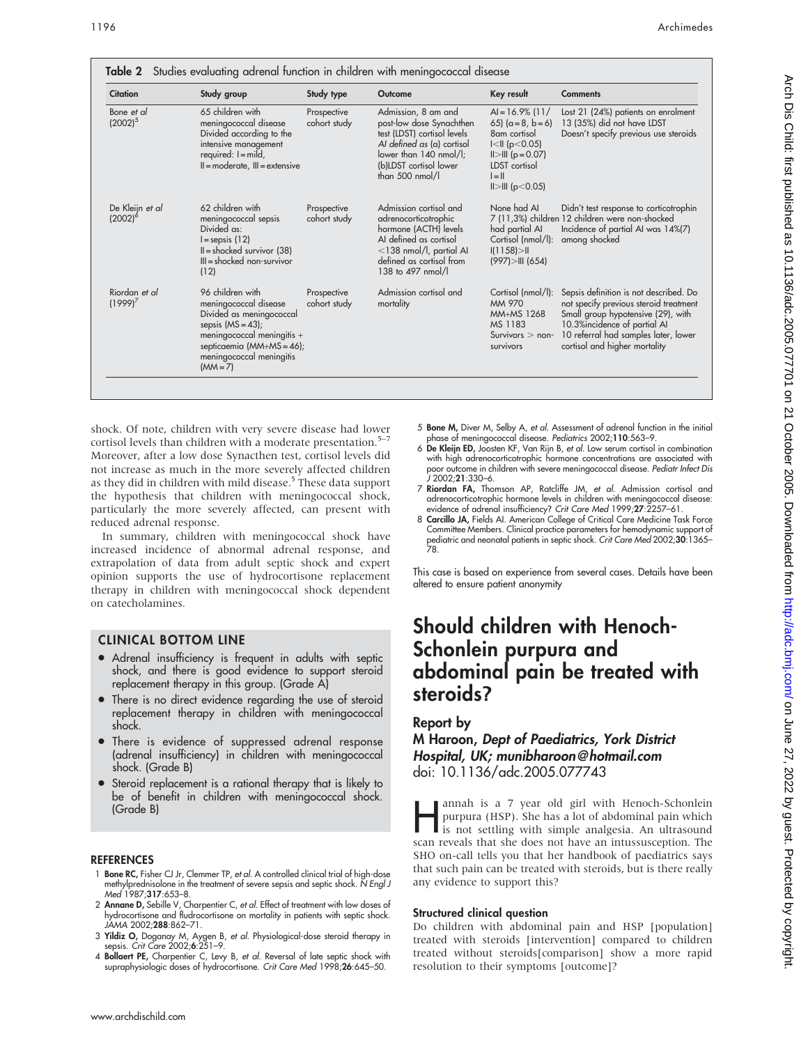| <b>Citation</b>               | Study group                                                                                                                                                                                           | Study type                  | Outcome                                                                                                                                                                                       | Key result                                                                                                                                               | <b>Comments</b>                                                                                                                                                                                                                 |
|-------------------------------|-------------------------------------------------------------------------------------------------------------------------------------------------------------------------------------------------------|-----------------------------|-----------------------------------------------------------------------------------------------------------------------------------------------------------------------------------------------|----------------------------------------------------------------------------------------------------------------------------------------------------------|---------------------------------------------------------------------------------------------------------------------------------------------------------------------------------------------------------------------------------|
| Bone et al<br>$(2002)^5$      | 65 children with<br>meningococcal disease<br>Divided according to the<br>intensive management<br>required: $I = mild$ ,<br>$II = moderate$ , $III = extensive$                                        | Prospective<br>cohort study | Admission, 8 am and<br>post-low dose Synachthen<br>test (LDST) cortisol levels<br>AI defined as (a) cortisol<br>lower than 140 nmol/l;<br>(b)LDST cortisol lower<br>than $500 \text{ nmol/l}$ | AI = $16.9\%$ (11/<br>65) $(a=8, b=6)$<br>8am cortisol<br>$\lll$ (p $<$ 0.05)<br>$\  > \ $ (p = 0.07)<br>LDST cortisol<br>$I = II$<br>$\ >\ $ (p < 0.05) | Lost 21 (24%) patients on enrolment<br>13 (35%) did not have LDST<br>Doesn't specify previous use steroids                                                                                                                      |
| De Kleijn et al<br>$(2002)^6$ | 62 children with<br>meningococcal sepsis<br>Divided as:<br>$I =$ sepsis $(12)$<br>$II =$ shocked survivor (38)<br>$III =$ shocked non-survivor<br>(12)                                                | Prospective<br>cohort study | Admission cortisol and<br>adrenocorticotrophic<br>hormone (ACTH) levels<br>Al defined as cortisol<br>$<$ 138 nmol/l, partial Al<br>defined as cortisol from<br>138 to 497 nmol/l              | None had AI<br>had partial AI<br>Cortisol (nmol/l):<br>I(1158)<br>$(997)$ > III (654)                                                                    | Didn't test response to corticotrophin<br>7 (11,3%) children 12 children were non-shocked<br>Incidence of partial AI was 14%(7)<br>among shocked                                                                                |
| Riordan et al<br>$(1999)^{7}$ | 96 children with<br>meningococcal disease<br>Divided as meningococcal<br>sepsis $(MS = 43)$ ;<br>meningococcal meningitis +<br>septicaemia $(MM+MS = 46)$ ;<br>meningococcal meningitis<br>$(MM = 7)$ | Prospective<br>cohort study | Admission cortisol and<br>mortality                                                                                                                                                           | Cortisol (nmol/l):<br>MM 970<br>MM+MS 1268<br>MS 1183<br>Survivors $>$ non-<br>survivors                                                                 | Sepsis definition is not described. Do<br>not specify previous steroid treatment<br>Small group hypotensive (29), with<br>10.3%incidence of partial AI<br>10 referral had samples later, lower<br>cortisol and higher mortality |

shock. Of note, children with very severe disease had lower cortisol levels than children with a moderate presentation.<sup>5–7</sup> Moreover, after a low dose Synacthen test, cortisol levels did not increase as much in the more severely affected children as they did in children with mild disease.<sup>5</sup> These data support the hypothesis that children with meningococcal shock, particularly the more severely affected, can present with reduced adrenal response.

In summary, children with meningococcal shock have increased incidence of abnormal adrenal response, and extrapolation of data from adult septic shock and expert opinion supports the use of hydrocortisone replacement therapy in children with meningococcal shock dependent on catecholamines.

#### CLINICAL BOTTOM LINE

- Adrenal insufficiency is frequent in adults with septic shock, and there is good evidence to support steroid replacement therapy in this group. (Grade A)
- There is no direct evidence regarding the use of steroid replacement therapy in children with meningococcal shock.
- There is evidence of suppressed adrenal response (adrenal insufficiency) in children with meningococcal shock. (Grade B)
- Steroid replacement is a rational therapy that is likely to be of benefit in children with meningococcal shock. (Grade B)

#### **REFERENCES**

- 1 Bone RC, Fisher CJ Jr, Clemmer TP, et al. A controlled clinical trial of high-dose methylprednisolone in the treatment of severe sepsis and septic shock. N Engl J Med<sup>'</sup>1987:317:653-8.
- 2 Annane D, Sebille V, Charpentier C, et al. Effect of treatment with low doses of hydrocortisone and fludrocortisone on mortality in patients with septic shock. JAMA 2002;288:862–71.
- 3 Yildiz O, Doganay M, Aygen B, et al. Physiological-dose steroid therapy in sepsis. Crit Care 2002;6:251–9.
- 4 Bollaert PE, Charpentier C, Levy B, et al. Reversal of late septic shock with supraphysiologic doses of hydrocortisone. Crit Care Med 1998;26:645-50.
- 5 Bone M, Diver M, Selby A, et al. Assessment of adrenal function in the initial phase of meningococcal disease. Pediatrics 2002;110:563–9.
- 6 De Kleijn ED, Joosten KF, Van Rijn B, et al. Low serum cortisol in combination with high adrenocorticotrophic hormone concentrations are associated with poor outcome in children with severe meningococcal disease. *Pediatr Infect Dis*<br>J 2002;**21**:330–6.
- 7 Riordan FA, Thomson AP, Ratcliffe JM, et al. Admission cortisol and adrenocorticotrophic hormone levels in children with meningococcal disease: evidence of adrenal insufficiency? Crit Care Med 1999;27:2257-61.
- 8 Carcillo JA, Fields AI. American College of Critical Care Medicine Task Force Committee Members. Clinical practice parameters for hemodynamic support of pediatric and neonatal patients in septic shock. Crit Care Med 2002;30:1365-78.

This case is based on experience from several cases. Details have been altered to ensure patient anonymity

# Should children with Henoch-Schonlein purpura and abdominal pain be treated with steroids?

#### Report by

M Haroon, Dept of Paediatrics, York District Hospital, UK; munibharoon@hotmail.com doi: 10.1136/adc.2005.077743

annah is a 7 year old girl with Henoch-Schonlein<br>purpura (HSP). She has a lot of abdominal pain which<br>is not settling with simple analgesia. An ultrasound<br>scan reveals that she does not have an intussus continuous purpura (HSP). She has a lot of abdominal pain which is not settling with simple analgesia. An ultrasound scan reveals that she does not have an intussusception. The SHO on-call tells you that her handbook of paediatrics says that such pain can be treated with steroids, but is there really any evidence to support this?

#### Structured clinical question

Do children with abdominal pain and HSP [population] treated with steroids [intervention] compared to children treated without steroids[comparison] show a more rapid resolution to their symptoms [outcome]?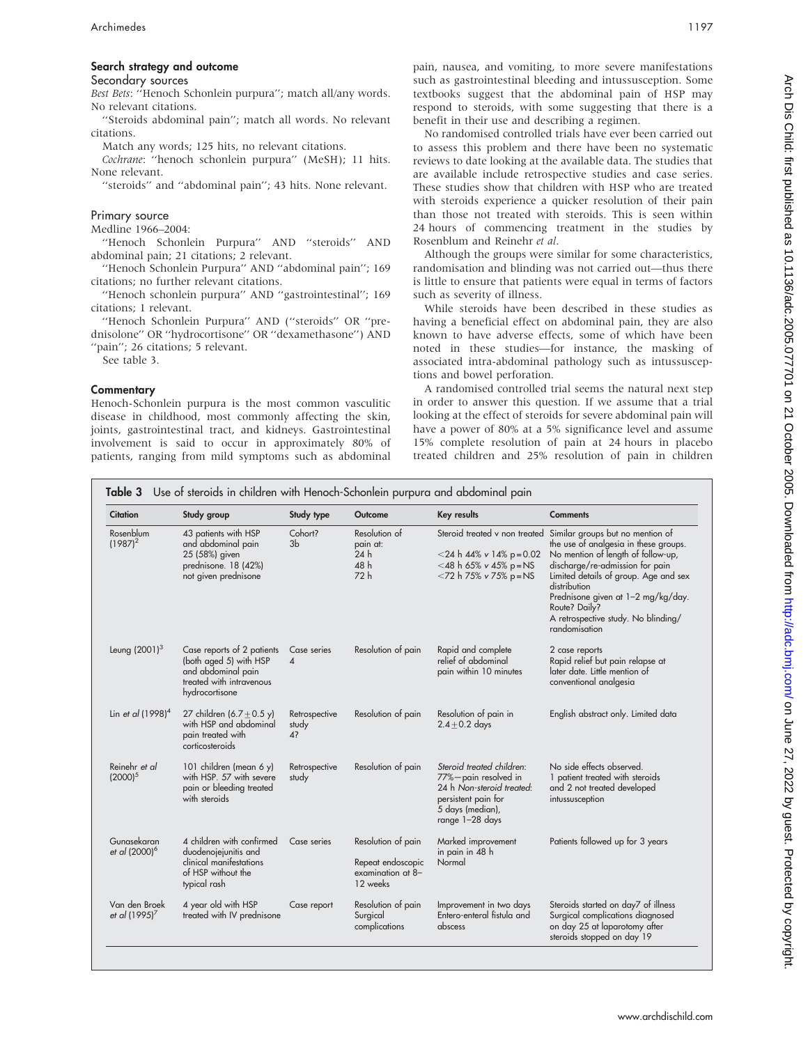#### Search strategy and outcome

Secondary sources

Best Bets: ''Henoch Schonlein purpura''; match all/any words. No relevant citations.

''Steroids abdominal pain''; match all words. No relevant citations.

Match any words; 125 hits, no relevant citations.

Cochrane: ''henoch schonlein purpura'' (MeSH); 11 hits. None relevant.

"steroids" and "abdominal pain"; 43 hits. None relevant.

#### Primary source

Medline 1966–2004:

''Henoch Schonlein Purpura'' AND ''steroids'' AND abdominal pain; 21 citations; 2 relevant.

''Henoch Schonlein Purpura'' AND ''abdominal pain''; 169 citations; no further relevant citations.

''Henoch schonlein purpura'' AND ''gastrointestinal''; 169 citations; 1 relevant.

''Henoch Schonlein Purpura'' AND (''steroids'' OR ''prednisolone'' OR ''hydrocortisone'' OR ''dexamethasone'') AND "pain"; 26 citations; 5 relevant.

See table 3.

#### **Commentary**

Henoch-Schonlein purpura is the most common vasculitic disease in childhood, most commonly affecting the skin, joints, gastrointestinal tract, and kidneys. Gastrointestinal involvement is said to occur in approximately 80% of patients, ranging from mild symptoms such as abdominal pain, nausea, and vomiting, to more severe manifestations such as gastrointestinal bleeding and intussusception. Some textbooks suggest that the abdominal pain of HSP may respond to steroids, with some suggesting that there is a benefit in their use and describing a regimen.

No randomised controlled trials have ever been carried out to assess this problem and there have been no systematic reviews to date looking at the available data. The studies that are available include retrospective studies and case series. These studies show that children with HSP who are treated with steroids experience a quicker resolution of their pain than those not treated with steroids. This is seen within 24 hours of commencing treatment in the studies by Rosenblum and Reinehr et al.

Although the groups were similar for some characteristics, randomisation and blinding was not carried out—thus there is little to ensure that patients were equal in terms of factors such as severity of illness.

While steroids have been described in these studies as having a beneficial effect on abdominal pain, they are also known to have adverse effects, some of which have been noted in these studies—for instance, the masking of associated intra-abdominal pathology such as intussusceptions and bowel perforation.

A randomised controlled trial seems the natural next step in order to answer this question. If we assume that a trial looking at the effect of steroids for severe abdominal pain will have a power of 80% at a 5% significance level and assume 15% complete resolution of pain at 24 hours in placebo treated children and 25% resolution of pain in children

| <b>Citation</b>                          | Study group                                                                                                              | Study type                              | Outcome                                                                  | Key results                                                                                                                                  | <b>Comments</b>                                                                                                                                                                                                                                                                                                                                          |
|------------------------------------------|--------------------------------------------------------------------------------------------------------------------------|-----------------------------------------|--------------------------------------------------------------------------|----------------------------------------------------------------------------------------------------------------------------------------------|----------------------------------------------------------------------------------------------------------------------------------------------------------------------------------------------------------------------------------------------------------------------------------------------------------------------------------------------------------|
| Rosenblum<br>$(1987)^2$                  | 43 patients with HSP<br>and abdominal pain<br>25 (58%) given<br>prednisone. 18 (42%)<br>not given prednisone             | Cohort?<br>3 <sub>b</sub>               | Resolution of<br>pain at:<br>24h<br>48 h<br>72 h                         | $<$ 24 h 44% v 14% p=0.02<br>$<$ 48 h 65% v 45% p = NS<br>$<$ 72 h 75% v 75% p = NS                                                          | Steroid treated v non treated Similar groups but no mention of<br>the use of analgesia in these groups.<br>No mention of length of follow-up,<br>discharge/re-admission for pain<br>Limited details of group. Age and sex<br>distribution<br>Prednisone given at 1-2 mg/kg/day.<br>Route? Daily?<br>A retrospective study. No blinding/<br>randomisation |
| Leung $(2001)^3$                         | Case reports of 2 patients<br>(both aged 5) with HSP<br>and abdominal pain<br>treated with intravenous<br>hydrocortisone | Case series<br>$\overline{\mathcal{A}}$ | Resolution of pain                                                       | Rapid and complete<br>relief of abdominal<br>pain within 10 minutes                                                                          | 2 case reports<br>Rapid relief but pain relapse at<br>later date. Little mention of<br>conventional analgesia                                                                                                                                                                                                                                            |
| Lin et al (1998) <sup>4</sup>            | 27 children $(6.7 \pm 0.5 \text{ y})$<br>with HSP and abdominal<br>pain treated with<br>corticosteroids                  | Retrospective<br>study<br>4?            | Resolution of pain                                                       | Resolution of pain in<br>$2.4 \pm 0.2$ days                                                                                                  | English abstract only. Limited data                                                                                                                                                                                                                                                                                                                      |
| Reinehr et al<br>$(2000)^5$              | 101 children (mean 6 y)<br>with HSP. 57 with severe<br>pain or bleeding treated<br>with steroids                         | Retrospective<br>study                  | Resolution of pain                                                       | Steroid treated children:<br>77%-pain resolved in<br>24 h Non-steroid treated:<br>persistent pain for<br>5 days (median),<br>range 1-28 days | No side effects observed.<br>1 patient treated with steroids<br>and 2 not treated developed<br>intussusception                                                                                                                                                                                                                                           |
| Gunasekaran<br>et al (2000) <sup>6</sup> | 4 children with confirmed<br>duodenojejunitis and<br>clinical manifestations<br>of HSP without the<br>typical rash       | Case series                             | Resolution of pain<br>Repeat endoscopic<br>examination at 8-<br>12 weeks | Marked improvement<br>in pain in 48 h<br>Normal                                                                                              | Patients followed up for 3 years                                                                                                                                                                                                                                                                                                                         |
| Van den Broek<br>et al $(1995)^7$        | 4 year old with HSP<br>treated with IV prednisone                                                                        | Case report                             | Resolution of pain<br>Surgical<br>complications                          | Improvement in two days<br>Entero-enteral fistula and<br>abscess                                                                             | Steroids started on day7 of illness<br>Surgical complications diagnosed<br>on day 25 at laparotomy after<br>steroids stopped on day 19                                                                                                                                                                                                                   |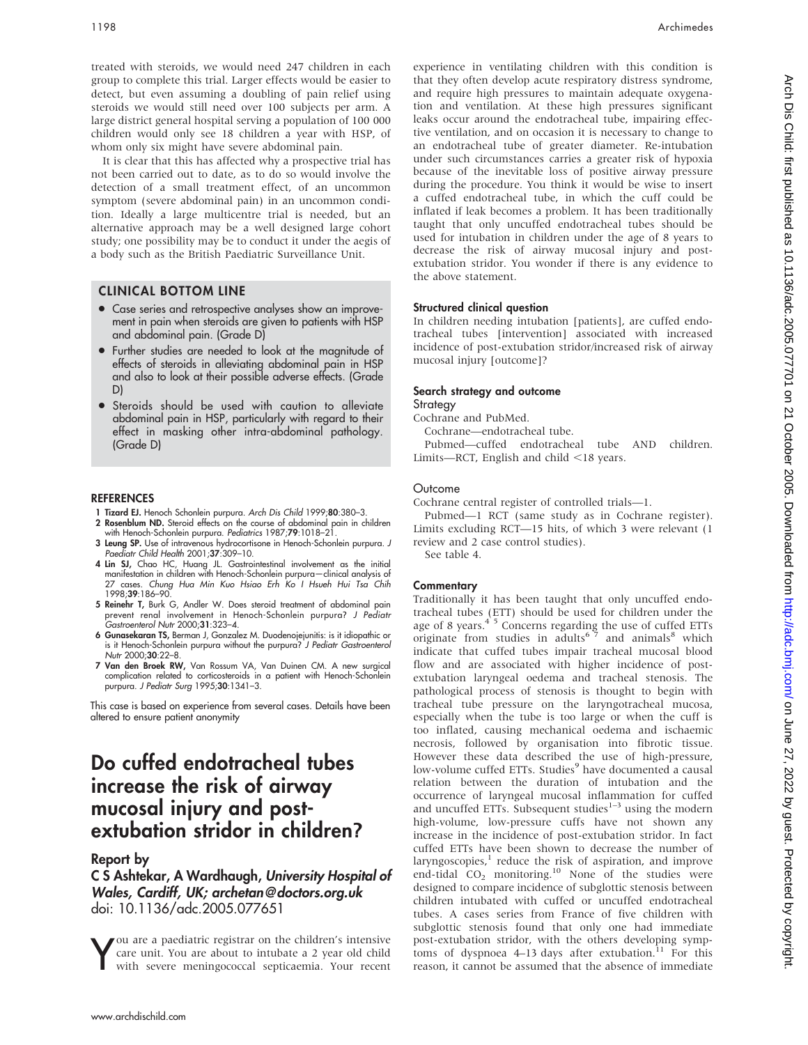treated with steroids, we would need 247 children in each group to complete this trial. Larger effects would be easier to detect, but even assuming a doubling of pain relief using steroids we would still need over 100 subjects per arm. A large district general hospital serving a population of 100 000 children would only see 18 children a year with HSP, of whom only six might have severe abdominal pain.

It is clear that this has affected why a prospective trial has not been carried out to date, as to do so would involve the detection of a small treatment effect, of an uncommon symptom (severe abdominal pain) in an uncommon condition. Ideally a large multicentre trial is needed, but an alternative approach may be a well designed large cohort study; one possibility may be to conduct it under the aegis of a body such as the British Paediatric Surveillance Unit.

#### CLINICAL BOTTOM LINE

- Case series and retrospective analyses show an improvement in pain when steroids are given to patients with HSP and abdominal pain. (Grade D)
- Further studies are needed to look at the magnitude of effects of steroids in alleviating abdominal pain in HSP and also to look at their possible adverse effects. (Grade D)
- Steroids should be used with caution to alleviate abdominal pain in HSP, particularly with regard to their effect in masking other intra-abdominal pathology. (Grade D)

#### **REFERENCES**

- 1 Tizard EJ. Henoch Schonlein purpura. Arch Dis Child 1999;80:380-3.
- 2 Rosenblum ND. Steroid effects on the course of abdominal pain in children with Henoch-Schonlein purpura. Pediatrics 1987;79:1018-21
- 3 Leung SP. Use of intravenous hydrocortisone in Henoch-Schonlein purpura. J Paediatr Child Health 2001;37:309–10.
- 4 Lin SJ, Chao HC, Huang JL. Gastrointestinal involvement as the initial manifestation in children with Henoch-Schonlein purpura—clinical analysis of 27 cases. Chung Hua Min Kuo Hsiao Erh Ko I Hsueh Hui Tsa Chih 1998;39:186–90.
- 5 Reinehr T, Burk G, Andler W. Does steroid treatment of abdominal pain prevent renal involvement in Henoch-Schonlein purpura? J Pediatr Gastroenterol Nutr 2000;31:323–4.
- 6 Gunasekaran TS, Berman J, Gonzalez M. Duodenojejunitis: is it idiopathic or is it Henoch-Schonlein purpura without the purpura? J Pediatr Gastroenterol Nutr 2000;30:22-8.
- 7 Van den Broek RW, Van Rossum VA, Van Duinen CM. A new surgical complication related to corticosteroids in a patient with Henoch-Schonlein purpura. J Pediatr Surg 1995;30:1341–3.

This case is based on experience from several cases. Details have been altered to ensure patient anonymity

## Do cuffed endotracheal tubes increase the risk of airway mucosal injury and postextubation stridor in children?

#### Report by

C S Ashtekar, A Wardhaugh, University Hospital of Wales, Cardiff, UK; archetan@doctors.org.uk doi: 10.1136/adc.2005.077651

Y ou are a paediatric registrar on the children's intensive care unit. You are about to intubate a 2 year old child with severe meningococcal septicaemia. Your recent experience in ventilating children with this condition is that they often develop acute respiratory distress syndrome, and require high pressures to maintain adequate oxygenation and ventilation. At these high pressures significant leaks occur around the endotracheal tube, impairing effective ventilation, and on occasion it is necessary to change to an endotracheal tube of greater diameter. Re-intubation under such circumstances carries a greater risk of hypoxia because of the inevitable loss of positive airway pressure during the procedure. You think it would be wise to insert a cuffed endotracheal tube, in which the cuff could be inflated if leak becomes a problem. It has been traditionally taught that only uncuffed endotracheal tubes should be used for intubation in children under the age of 8 years to decrease the risk of airway mucosal injury and postextubation stridor. You wonder if there is any evidence to the above statement.

#### Structured clinical question

In children needing intubation [patients], are cuffed endotracheal tubes [intervention] associated with increased incidence of post-extubation stridor/increased risk of airway mucosal injury [outcome]?

#### Search strategy and outcome

Strategy

Cochrane and PubMed. Cochrane—endotracheal tube.

Pubmed—cuffed endotracheal tube AND children. Limits—RCT, English and child  $\leq$ 18 years.

#### Outcome

Cochrane central register of controlled trials—1.

Pubmed—1 RCT (same study as in Cochrane register). Limits excluding RCT—15 hits, of which 3 were relevant (1 review and 2 case control studies).

See table 4.

#### **Commentary**

Traditionally it has been taught that only uncuffed endotracheal tubes (ETT) should be used for children under the age of 8 years.<sup>45</sup> Concerns regarding the use of cuffed ETTs originate from studies in adults<sup>6 7</sup> and animals<sup>8</sup> which indicate that cuffed tubes impair tracheal mucosal blood flow and are associated with higher incidence of postextubation laryngeal oedema and tracheal stenosis. The pathological process of stenosis is thought to begin with tracheal tube pressure on the laryngotracheal mucosa, especially when the tube is too large or when the cuff is too inflated, causing mechanical oedema and ischaemic necrosis, followed by organisation into fibrotic tissue. However these data described the use of high-pressure, low-volume cuffed ETTs. Studies<sup>9</sup> have documented a causal relation between the duration of intubation and the occurrence of laryngeal mucosal inflammation for cuffed and uncuffed ETTs. Subsequent studies $1-3$  using the modern high-volume, low-pressure cuffs have not shown any increase in the incidence of post-extubation stridor. In fact cuffed ETTs have been shown to decrease the number of laryngoscopies, $1$  reduce the risk of aspiration, and improve end-tidal CO<sub>2</sub> monitoring.<sup>10</sup> None of the studies were designed to compare incidence of subglottic stenosis between children intubated with cuffed or uncuffed endotracheal tubes. A cases series from France of five children with subglottic stenosis found that only one had immediate post-extubation stridor, with the others developing symptoms of dyspnoea 4–13 days after extubation.<sup>11</sup> For this reason, it cannot be assumed that the absence of immediate